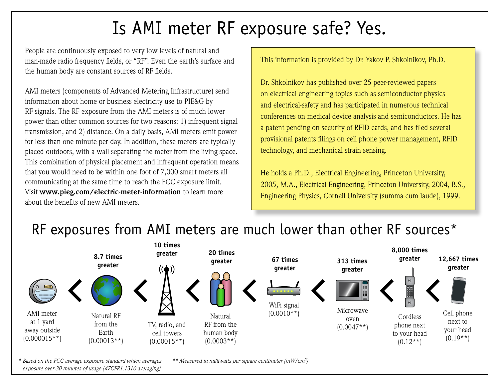## Is AMI meter RF exposure safe? Yes.

People are continuously exposed to very low levels of natural and man-made radio frequency fields, or "RF". Even the earth's surface and the human body are constant sources of RF fields.

AMI meters (components of Advanced Metering Infrastructure) send information about home or business electricity use to PIE&G by RF signals. The RF exposure from the AMI meters is of much lower power than other common sources for two reasons: 1) infrequent signal transmission, and 2) distance. On a daily basis, AMI meters emit power for less than one minute per day. In addition, these meters are typically placed outdoors, with a wall separating the meter from the living space. This combination of physical placement and infrequent operation means that you would need to be within one foot of 7,000 smart meters all communicating at the same time to reach the FCC exposure limit. Visit **www.pieg.com/electric-meter-information** to learn more about the benefits of new AMI meters.

This information is provided by Dr. Yakov P. Shkolnikov, Ph.D.

Dr. Shkolnikov has published over 25 peer-reviewed papers on electrical engineering topics such as semiconductor physics and electrical-safety and has participated in numerous technical conferences on medical device analysis and semiconductors. He has a patent pending on security of RFID cards, and has filed several provisional patents filings on cell phone power management, RFID technology, and mechanical strain sensing.

He holds a Ph.D., Electrical Engineering, Princeton University, 2005, M.A., Electrical Engineering, Princeton University, 2004, B.S., Engineering Physics, Cornell University (summa cum laude), 1999.

## RF exposures from AMI meters are much lower than other RF sources\*



 *exposure over 30 minutes of usage (47CFR1.1310 averaging)*